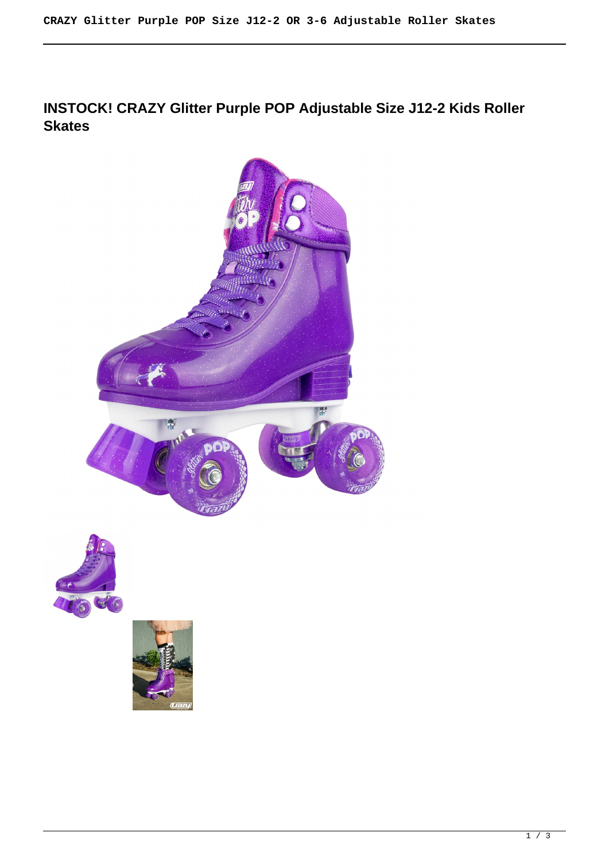# **INSTOCK! CRAZY Glitter Purple POP Adjustable Size J12-2 Kids Roller Skates**





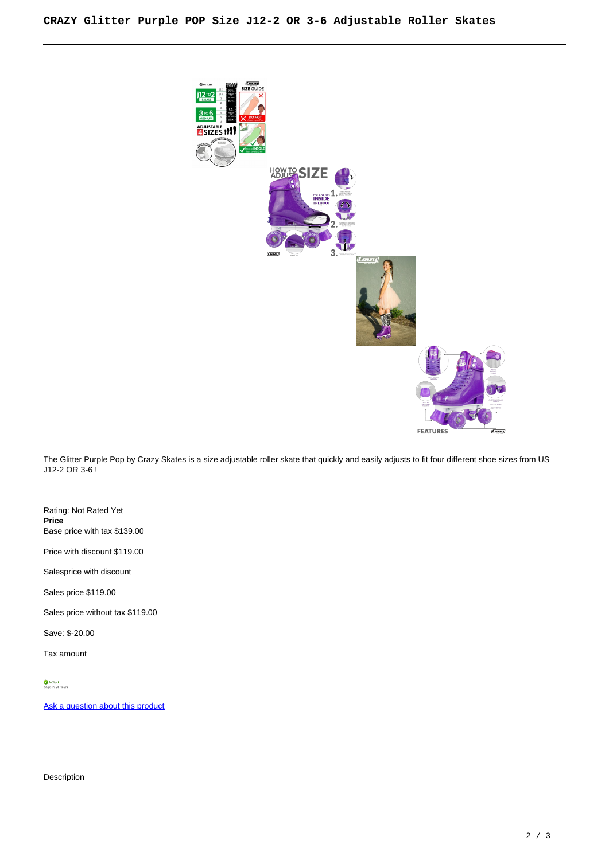

The Glitter Purple Pop by Crazy Skates is a size adjustable roller skate that quickly and easily adjusts to fit four different shoe sizes from US J12-2 OR 3-6 !

Rating: Not Rated Yet **Price**  Base price with tax \$139.00

Price with discount \$119.00

Salesprice with discount

Sales price \$119.00

Sales price without tax \$119.00

Save: \$-20.00

Tax amount

*In Stock*<br>Ships In: 24 Hours

[Ask a question about this product](https://rollerskatin.ca/index.php?option=com_virtuemart&view=productdetails&task=askquestion&virtuemart_product_id=979&virtuemart_category_id=28&tmpl=component)

Description